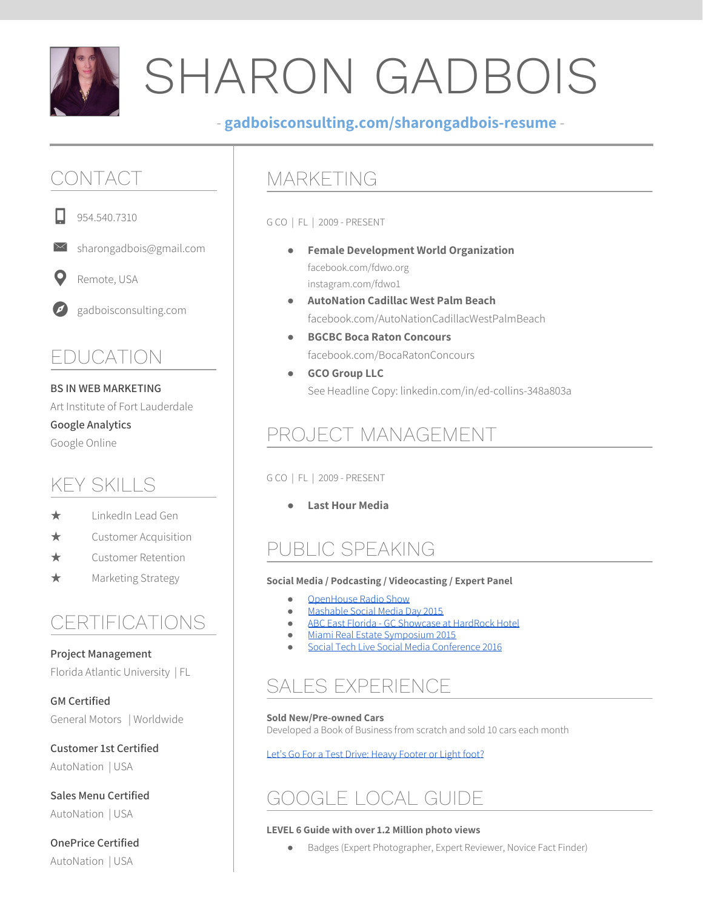

# SHARON GADBOIS

#### - **gadboisconsulting.com/sharongadbois-resume** -

## CONTACT

954.540.7310

sharongadbois@gmail.com

O Remote, USA

gadboisconsulting.com

### EDUCATION

#### **BS IN WEB MARKETING**

Art Institute of Fort Lauderdale **Google Analytics** Google Online

### KEY SKILLS

- $\star$  LinkedIn Lead Gen
- ★ Customer Acquisition
- ★ Customer Retention
- ★ Marketing Strategy

### CERTIFICATIONS

**Project Management** Florida Atlantic University | FL

**GM Certified** General Motors | Worldwide

**Customer 1st Certified** AutoNation | USA

**Sales Menu Certified** AutoNation | USA

**OnePrice Certified** AutoNation | USA

### MARKETING

G CO | FL | 2009 - PRESENT

- **Female Development World Organization** facebook.com/fdwo.org instagram.com/fdwo1
- **AutoNation Cadillac West Palm Beach** facebook.com/AutoNationCadillacWestPalmBeach
- **BGCBC Boca Raton Concours** facebook.com/BocaRatonConcours
- **GCO Group LLC** See Headline Copy: linkedin.com/in/ed-collins-348a803a

## PROJECT MANAGEMENT

#### G CO | FL | 2009 - PRESENT

● **Last Hour Media**

## PUBLIC SPEAKING

#### **Social Media / Podcasting / Videocasting / Expert Panel**

- [OpenHouse](https://www.youtube.com/playlist?list=PLDWTTW18L5cArU424OFCuNhmUAEMG-UhU) Radio Show
- [Mashable](http://gadboisconsulting.com/events-smdaysfl2015) Social Media Day 2015
- ABC East Florida GC [Showcase](http://gadboisconsulting.com/events-abceastfloridagcshowcase) at HardRock Hotel
- Miami Real Estate [Symposium](http://gadboisconsulting.com/events-mres2015) 2015
- Social Tech Live Social Media [Conference](http://gadboisconsulting.com/events-socialtechlive16) 2016

## SALES EXPERIENCE

**Sold New/Pre-owned Cars** Developed a Book of Business from scratch and sold 10 cars each month

Let's Go For a Test Drive: Heavy [Footer](http://sharonsellscars.com/) or Light foot?

## GOOGLE LOCAL GUIDE

#### **LEVEL 6 Guide with over 1.2 Million photo views**

Badges (Expert Photographer, Expert Reviewer, Novice Fact Finder)